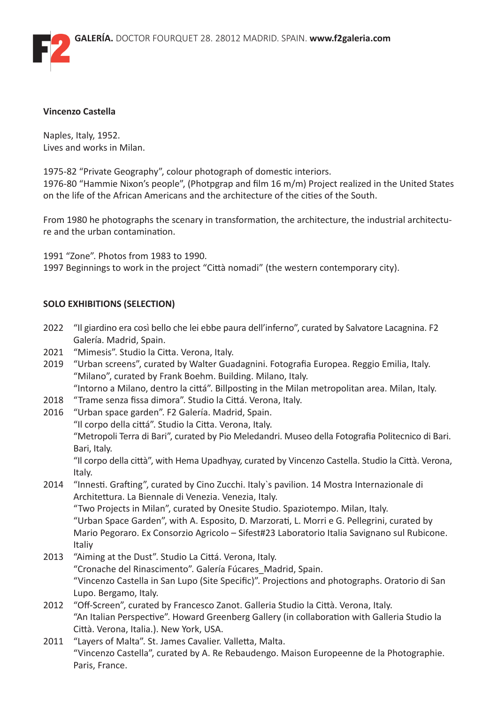

#### **Vincenzo Castella**

Naples, Italy, 1952. Lives and works in Milan.

1975-82 "Private Geography", colour photograph of domestic interiors. 1976-80 "Hammie Nixon's people", (Photpgrap and film 16 m/m) Project realized in the United States on the life of the African Americans and the architecture of the cities of the South.

From 1980 he photographs the scenary in transformation, the architecture, the industrial architecture and the urban contamination.

1991 "Zone". Photos from 1983 to 1990. 1997 Beginnings to work in the project "Città nomadi" (the western contemporary city).

## **SOLO EXHIBITIONS (SELECTION)**

- 2022 "Il giardino era così bello che lei ebbe paura dell'inferno", curated by Salvatore Lacagnina. F2 Galería. Madrid, Spain.
- 2021 "Mimesis". Studio la Citta. Verona, Italy.
- 2019 "Urban screens", curated by Walter Guadagnini. Fotografia Europea. Reggio Emilia, Italy. "Milano", curated by Frank Boehm. Building. Milano, Italy. "Intorno a Milano, dentro la cittá". Billposting in the Milan metropolitan area. Milan, Italy.
- 2018 "Trame senza fissa dimora". Studio la Cittá. Verona, Italy.
- 2016 "Urban space garden". F2 Galería. Madrid, Spain. "Il corpo della cittá". Studio la Citta. Verona, Italy. "Metropoli Terra di Bari", curated by Pio Meledandri. Museo della Fotografia Politecnico di Bari. Bari, Italy. "Il corpo della città", with Hema Upadhyay, curated by Vincenzo Castella. Studio la Città. Verona, Italy. 2014 "Innesti. Grafting", curated by Cino Zucchi. Italy`s pavilion. 14 Mostra Internazionale di Architettura. La Biennale di Venezia. Venezia, Italy.

"Two Projects in Milan", curated by Onesite Studio. Spaziotempo. Milan, Italy. "Urban Space Garden", with A. Esposito, D. Marzorati, L. Morri e G. Pellegrini, curated by Mario Pegoraro. Ex Consorzio Agricolo – Sifest#23 Laboratorio Italia Savignano sul Rubicone. Italiy

- 2013 "Aiming at the Dust". Studio La Cittá. Verona, Italy. "Cronache del Rinascimento". Galería Fúcares\_Madrid, Spain. "Vincenzo Castella in San Lupo (Site Specific)". Projections and photographs. Oratorio di San Lupo. Bergamo, Italy.
- 2012 "Off-Screen", curated by Francesco Zanot. Galleria Studio la Città. Verona, Italy. "An Italian Perspective". Howard Greenberg Gallery (in collaboration with Galleria Studio la Città. Verona, Italia.). New York, USA.
- 2011 "Layers of Malta". St. James Cavalier. Valletta, Malta. "Vincenzo Castella", curated by A. Re Rebaudengo. Maison Europeenne de la Photographie. Paris, France.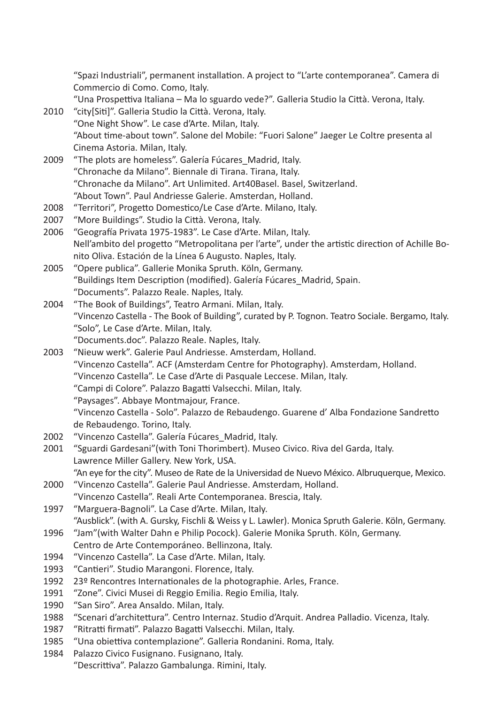"Spazi Industriali", permanent installation. A project to "L'arte contemporanea". Camera di Commercio di Como. Como, Italy.

- "Una Prospettiva Italiana Ma lo sguardo vede?". Galleria Studio la Città. Verona, Italy.
- 2010 "city[Siti]". Galleria Studio la Città. Verona, Italy. "One Night Show". Le case d'Arte. Milan, Italy. "About time-about town". Salone del Mobile: "Fuori Salone" Jaeger Le Coltre presenta al Cinema Astoria. Milan, Italy.
- 2009 "The plots are homeless". Galería Fúcares Madrid, Italy. "Chronache da Milano". Biennale di Tirana. Tirana, Italy. "Chronache da Milano". Art Unlimited. Art40Basel. Basel, Switzerland. "About Town". Paul Andriesse Galerie. Amsterdan, Holland.
- 2008 "Territori", Progetto Domestico/Le Case d'Arte. Milano, Italy.
- 2007 "More Buildings". Studio la Città. Verona, Italy.
- 2006 "Geografía Privata 1975-1983". Le Case d'Arte. Milan, Italy. Nell'ambito del progetto "Metropolitana per l'arte", under the artistic direction of Achille Bonito Oliva. Estación de la Línea 6 Augusto. Naples, Italy.
- 2005 "Opere publica". Gallerie Monika Spruth. Köln, Germany. "Buildings Item Description (modified). Galería Fúcares\_Madrid, Spain. "Documents". Palazzo Reale. Naples, Italy.
- 2004 "The Book of Buildings", Teatro Armani. Milan, Italy. "Vincenzo Castella - The Book of Building", curated by P. Tognon. Teatro Sociale. Bergamo, Italy. "Solo", Le Case d'Arte. Milan, Italy. "Documents.doc". Palazzo Reale. Naples, Italy.
- 2003 "Nieuw werk". Galerie Paul Andriesse. Amsterdam, Holland. "Vincenzo Castella". ACF (Amsterdam Centre for Photography). Amsterdam, Holland. "Vincenzo Castella". Le Case d'Arte di Pasquale Leccese. Milan, Italy. "Campi di Colore". Palazzo Bagatti Valsecchi. Milan, Italy. "Paysages". Abbaye Montmajour, France.
	- "Vincenzo Castella Solo". Palazzo de Rebaudengo. Guarene d' Alba Fondazione Sandretto de Rebaudengo. Torino, Italy.
- 2002 "Vincenzo Castella". Galería Fúcares\_Madrid, Italy.
- 2001 "Sguardi Gardesani"(with Toni Thorimbert). Museo Civico. Riva del Garda, Italy. Lawrence Miller Gallery. New York, USA. "An eye for the city". Museo de Rate de la Universidad de Nuevo México. Albruquerque, Mexico.
- 2000 "Vincenzo Castella". Galerie Paul Andriesse. Amsterdam, Holland. "Vincenzo Castella". Reali Arte Contemporanea. Brescia, Italy.
- 1997 "Marguera-Bagnoli". La Case d'Arte. Milan, Italy. "Ausblick". (with A. Gursky, Fischli & Weiss y L. Lawler). Monica Spruth Galerie. Köln, Germany.
- 1996 "Jam"(with Walter Dahn e Philip Pocock). Galerie Monika Spruth. Köln, Germany. Centro de Arte Contemporáneo. Bellinzona, Italy.
- 1994 "Vincenzo Castella". La Case d'Arte. Milan, Italy.
- 1993 "Cantieri". Studio Marangoni. Florence, Italy.
- 1992 23º Rencontres Internationales de la photographie. Arles, France.
- 1991 "Zone". Civici Musei di Reggio Emilia. Regio Emilia, Italy.
- 1990 "San Siro". Area Ansaldo. Milan, Italy.
- 1988 "Scenari d'architettura". Centro Internaz. Studio d'Arquit. Andrea Palladio. Vicenza, Italy.
- 1987 "Ritratti firmati". Palazzo Bagatti Valsecchi. Milan, Italy.
- 1985 "Una obiettiva contemplazione". Galleria Rondanini. Roma, Italy.
- 1984 Palazzo Civico Fusignano. Fusignano, Italy.

"Descrittiva". Palazzo Gambalunga. Rimini, Italy.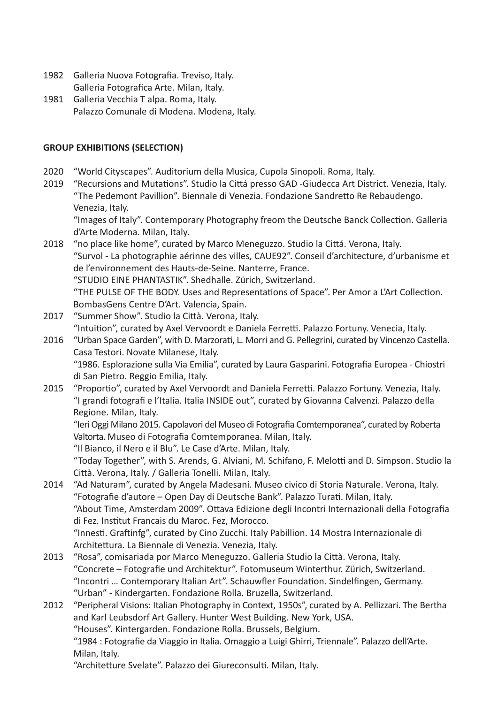- 1982 Galleria Nuova Fotografia. Treviso, Italy. Galleria Fotografica Arte. Milan, Italy.
- 1981 Galleria Vecchia T alpa. Roma, Italy. Palazzo Comunale di Modena. Modena, Italy.

# **GROUP EXHIBITIONS (SELECTION)**

- 2020 "World Cityscapes". Auditorium della Musica, Cupola Sinopoli. Roma, Italy.
- 2019 "Recursions and Mutations". Studio la Cittá presso GAD -Giudecca Art District. Venezia, Italy. "The Pedemont Pavillion". Biennale di Venezia. Fondazione Sandretto Re Rebaudengo. Venezia, Italy.

"Images of Italy". Contemporary Photography freom the Deutsche Banck Collection. Galleria d'Arte Moderna. Milan, Italy.

- 2018 "no place like home", curated by Marco Meneguzzo. Studio la Cittá. Verona, Italy. "Survol - La photographie aérinne des villes, CAUE92". Conseil d'architecture, d'urbanisme et de l'environnement des Hauts-de-Seine. Nanterre, France. "STUDIO EINE PHANTASTIK". Shedhalle. Zürich, Switzerland. "THE PULSE OF THE BODY. Uses and Representations of Space". Per Amor a L'Art Collection. BombasGens Centre D'Art. Valencia, Spain.
- 2017 "Summer Show". Studio la Città. Verona, Italy. "Intuition", curated by Axel Vervoordt e Daniela Ferretti. Palazzo Fortuny. Venecia, Italy.
- 2016 "Urban Space Garden", with D. Marzorati, L. Morri and G. Pellegrini, curated by Vincenzo Castella. Casa Testori. Novate Milanese, Italy. "1986. Esplorazione sulla Via Emilia", curated by Laura Gasparini. Fotografia Europea - Chiostri di San Pietro. Reggio Emilia, Italy.
- 2015 "Proportio", curated by Axel Vervoordt and Daniela Ferretti. Palazzo Fortuny. Venezia, Italy. "I grandi fotografi e l'Italia. Italia INSIDE out", curated by Giovanna Calvenzi. Palazzo della Regione. Milan, Italy.

"Ieri Oggi Milano 2015. Capolavori del Museo di Fotografia Comtemporanea", curated by Roberta Valtorta. Museo di Fotografia Comtemporanea. Milan, Italy.

"Il Bianco, il Nero e il Blu". Le Case d'Arte. Milan, Italy.

 "Today Together", with S. Arends, G. Alviani, M. Schifano, F. Melotti and D. Simpson. Studio la Città. Verona, Italy. / Galleria Tonelli. Milan, Italy.

- 2014 "Ad Naturam", curated by Angela Madesani. Museo civico di Storia Naturale. Verona, Italy. "Fotografie d'autore – Open Day di Deutsche Bank". Palazzo Turati. Milan, Italy. "About Time, Amsterdam 2009". Ottava Edizione degli Incontri Internazionali della Fotografia di Fez. Institut Francais du Maroc. Fez, Morocco. "Innesti. Graftinfg", curated by Cino Zucchi. Italy Pabillion. 14 Mostra Internazionale di Architettura. La Biennale di Venezia. Venezia, Italy.
- 2013 "Rosa", comisariada por Marco Meneguzzo. Galleria Studio la Città. Verona, Italy. "Concrete – Fotografie und Architektur". Fotomuseum Winterthur. Zürich, Switzerland. "Incontri … Contemporary Italian Art". Schauwfler Foundation. Sindelfingen, Germany. "Urban" - Kindergarten. Fondazione Rolla. Bruzella, Switzerland.
- 2012 "Peripheral Visions: Italian Photography in Context, 1950s", curated by A. Pellizzari. The Bertha and Karl Leubsdorf Art Gallery. Hunter West Building. New York, USA. "Houses". Kintergarden. Fondazione Rolla. Brussels, Belgium.

"1984 : Fotografie da Viaggio in Italia. Omaggio a Luigi Ghirri, Triennale". Palazzo dell'Arte. Milan, Italy.

"Architetture Svelate". Palazzo dei Giureconsulti. Milan, Italy.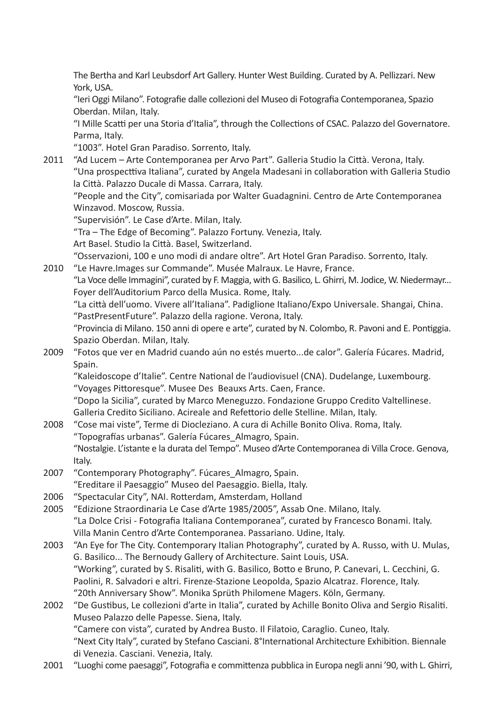The Bertha and Karl Leubsdorf Art Gallery. Hunter West Building. Curated by A. Pellizzari. New York, USA.

"Ieri Oggi Milano". Fotografie dalle collezioni del Museo di Fotografia Contemporanea, Spazio Oberdan. Milan, Italy.

 "I Mille Scatti per una Storia d'Italia", through the Collections of CSAC. Palazzo del Governatore. Parma, Italy.

"1003". Hotel Gran Paradiso. Sorrento, Italy.

2011 "Ad Lucem – Arte Contemporanea per Arvo Part". Galleria Studio la Città. Verona, Italy. "Una prospecttiva Italiana", curated by Angela Madesani in collaboration with Galleria Studio la Città. Palazzo Ducale di Massa. Carrara, Italy.

"People and the City", comisariada por Walter Guadagnini. Centro de Arte Contemporanea Winzavod. Moscow, Russia.

"Supervisión". Le Case d'Arte. Milan, Italy.

"Tra – The Edge of Becoming". Palazzo Fortuny. Venezia, Italy.

Art Basel. Studio la Città. Basel, Switzerland.

"Osservazioni, 100 e uno modi di andare oltre". Art Hotel Gran Paradiso. Sorrento, Italy.

2010 "Le Havre. Images sur Commande". Musée Malraux. Le Havre, France. "La Voce delle Immagini", curated by F. Maggia, with G. Basilico, L. Ghirri, M. Jodice, W. Niedermayr... Foyer dell'Auditorium Parco della Musica. Rome, Italy.

"La città dell'uomo. Vivere all'Italiana". Padiglione Italiano/Expo Universale. Shangai, China. "PastPresentFuture". Palazzo della ragione. Verona, Italy.

 "Provincia di Milano. 150 anni di opere e arte", curated by N. Colombo, R. Pavoni and E. Pontiggia. Spazio Oberdan. Milan, Italy.

2009 "Fotos que ver en Madrid cuando aún no estés muerto...de calor". Galería Fúcares. Madrid, Spain.

"Kaleidoscope d'Italie". Centre National de l'audiovisuel (CNA). Dudelange, Luxembourg. "Voyages Pittoresque". Musee Des Beauxs Arts. Caen, France.

"Dopo la Sicilia", curated by Marco Meneguzzo. Fondazione Gruppo Credito Valtellinese. Galleria Credito Siciliano. Acireale and Refettorio delle Stelline. Milan, Italy.

- 2008 "Cose mai viste", Terme di Diocleziano. A cura di Achille Bonito Oliva. Roma, Italy. "Topografías urbanas". Galería Fúcares\_Almagro, Spain. "Nostalgie. L'istante e la durata del Tempo". Museo d'Arte Contemporanea di Villa Croce. Genova, Italy.
- 2007 "Contemporary Photography". Fúcares Almagro, Spain. "Ereditare il Paesaggio" Museo del Paesaggio. Biella, Italy.
- 2006 "Spectacular City", NAI. Rotterdam, Amsterdam, Holland
- 2005 "Edizione Straordinaria Le Case d'Arte 1985/2005", Assab One. Milano, Italy. "La Dolce Crisi - Fotografia Italiana Contemporanea", curated by Francesco Bonami. Italy. Villa Manin Centro d'Arte Contemporanea. Passariano. Udine, Italy.
- 2003 "An Eye for The City. Contemporary Italian Photography", curated by A. Russo, with U. Mulas, G. Basilico... The Bernoudy Gallery of Architecture. Saint Louis, USA. "Working", curated by S. Risaliti, with G. Basilico, Botto e Bruno, P. Canevari, L. Cecchini, G. Paolini, R. Salvadori e altri. Firenze-Stazione Leopolda, Spazio Alcatraz. Florence, Italy. "20th Anniversary Show". Monika Sprüth Philomene Magers. Köln, Germany.
- 2002 "De Gustibus, Le collezioni d'arte in Italia", curated by Achille Bonito Oliva and Sergio Risaliti. Museo Palazzo delle Papesse. Siena, Italy. "Camere con vista", curated by Andrea Busto. Il Filatoio, Caraglio. Cuneo, Italy. "Next City Italy", curated by Stefano Casciani. 8°International Architecture Exhibition. Biennale di Venezia. Casciani. Venezia, Italy.
- 2001 "Luoghi come paesaggi", Fotografia e committenza pubblica in Europa negli anni '90, with L. Ghirri,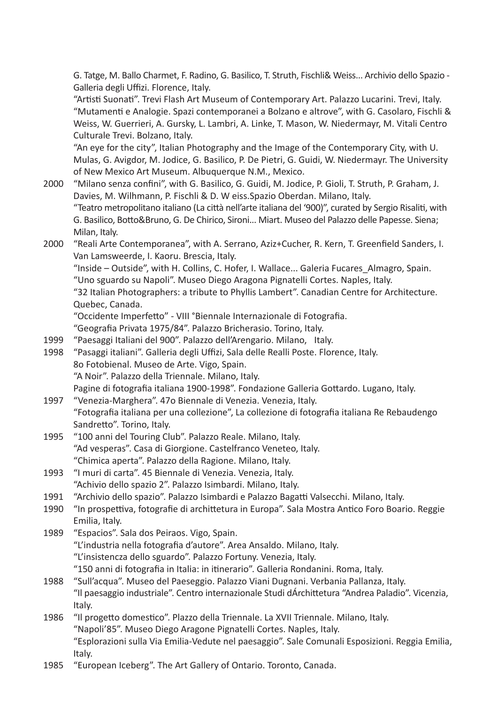G. Tatge, M. Ballo Charmet, F. Radino, G. Basilico, T. Struth, Fischli& Weiss... Archivio dello Spazio - Galleria degli Uffizi. Florence, Italy.

"Artisti Suonati". Trevi Flash Art Museum of Contemporary Art. Palazzo Lucarini. Trevi, Italy. "Mutamenti e Analogie. Spazi contemporanei a Bolzano e altrove", with G. Casolaro, Fischli & Weiss, W. Guerrieri, A. Gursky, L. Lambri, A. Linke, T. Mason, W. Niedermayr, M. Vitali Centro Culturale Trevi. Bolzano, Italy.

"An eye for the city", Italian Photography and the Image of the Contemporary City, with U. Mulas, G. Avigdor, M. Jodice, G. Basilico, P. De Pietri, G. Guidi, W. Niedermayr. The University of New Mexico Art Museum. Albuquerque N.M., Mexico.

- 2000 "Milano senza confini", with G. Basilico, G. Guidi, M. Jodice, P. Gioli, T. Struth, P. Graham, J. Davies, M. Wilhmann, P. Fischli & D. W eiss.Spazio Oberdan. Milano, Italy. "Teatro metropolitano italiano (La città nell'arte italiana del '900)", curated by Sergio Risaliti, with G. Basilico, Botto&Bruno, G. De Chirico, Sironi... Miart. Museo del Palazzo delle Papesse. Siena; Milan, Italy.
- 2000 "Reali Arte Contemporanea", with A. Serrano, Aziz+Cucher, R. Kern, T. Greenfield Sanders, I. Van Lamsweerde, I. Kaoru. Brescia, Italy.

"Inside – Outside", with H. Collins, C. Hofer, I. Wallace... Galeria Fucares\_Almagro, Spain. "Uno sguardo su Napoli". Museo Diego Aragona Pignatelli Cortes. Naples, Italy.

"32 Italian Photographers: a tribute to Phyllis Lambert". Canadian Centre for Architecture. Quebec, Canada.

"Occidente Imperfetto" - VIII °Biennale Internazionale di Fotografia.

"Geografia Privata 1975/84". Palazzo Bricherasio. Torino, Italy.

- 1999 "Paesaggi Italiani del 900". Palazzo dell'Arengario. Milano, Italy.
- 1998 "Pasaggi italiani". Galleria degli Uffizi, Sala delle Realli Poste. Florence, Italy. 8o Fotobienal. Museo de Arte. Vigo, Spain. "A Noir". Palazzo della Triennale. Milano, Italy. Pagine di fotografia italiana 1900-1998". Fondazione Galleria Gottardo. Lugano, Italy.
- 1997 "Venezia-Marghera". 47o Biennale di Venezia. Venezia, Italy. "Fotografia italiana per una collezione", La collezione di fotografia italiana Re Rebaudengo Sandretto". Torino, Italy.
- 1995 "100 anni del Touring Club". Palazzo Reale. Milano, Italy. "Ad vesperas". Casa di Giorgione. Castelfranco Veneteo, Italy. "Chimica aperta". Palazzo della Ragione. Milano, Italy.
- 1993 "I muri di carta". 45 Biennale di Venezia. Venezia, Italy. "Achivio dello spazio 2". Palazzo Isimbardi. Milano, Italy.
- 1991 "Archivio dello spazio". Palazzo Isimbardi e Palazzo Bagatti Valsecchi. Milano, Italy.
- 1990 "In prospettiva, fotografie di archittetura in Europa". Sala Mostra Antico Foro Boario. Reggie Emilia, Italy.
- 1989 "Espacios". Sala dos Peiraos. Vigo, Spain. "L'industria nella fotografia d'autore". Area Ansaldo. Milano, Italy. "L'insistencza dello sguardo". Palazzo Fortuny. Venezia, Italy. "150 anni di fotografia in Italia: in itinerario". Galleria Rondanini. Roma, Italy.
- 1988 "Sull'acqua". Museo del Paeseggio. Palazzo Viani Dugnani. Verbania Pallanza, Italy. "Il paesaggio industriale". Centro internazionale Studi dÁrchittetura "Andrea Paladio". Vicenzia, Italy.
- 1986 "Il progetto domestico". Plazzo della Triennale. La XVII Triennale. Milano, Italy. "Napoli'85". Museo Diego Aragone Pignatelli Cortes. Naples, Italy. "Esplorazioni sulla Via Emilia-Vedute nel paesaggio". Sale Comunali Esposizioni. Reggia Emilia, Italy.
- 1985 "European Iceberg". The Art Gallery of Ontario. Toronto, Canada.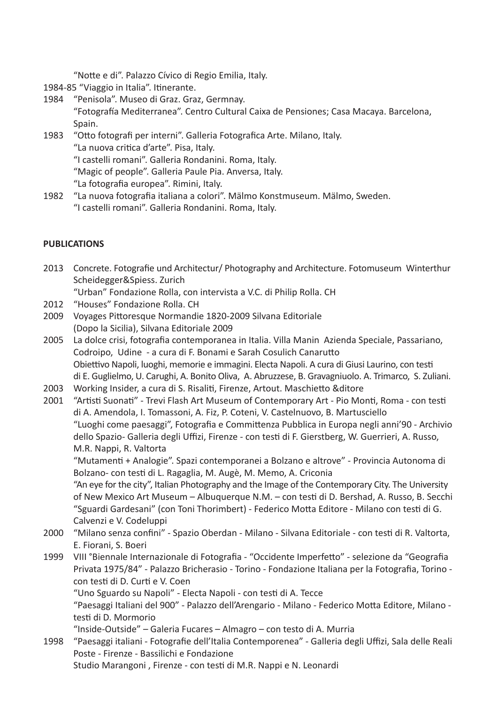"Notte e di". Palazzo Cívico di Regio Emilia, Italy.

- 1984-85 "Viaggio in Italia". Itinerante.
- 1984 "Penisola". Museo di Graz. Graz, Germnay. "Fotografía Mediterranea". Centro Cultural Caixa de Pensiones; Casa Macaya. Barcelona, Spain.
- 1983 "Otto fotografi per interni". Galleria Fotografica Arte. Milano, Italy. "La nuova critica d'arte". Pisa, Italy.
	- "I castelli romani". Galleria Rondanini. Roma, Italy.
	- "Magic of people". Galleria Paule Pia. Anversa, Italy.
	- "La fotografia europea". Rimini, Italy.
- 1982 "La nuova fotografia italiana a colori". Mälmo Konstmuseum. Mälmo, Sweden. "I castelli romani". Galleria Rondanini. Roma, Italy.

# **PUBLICATIONS**

- 2013 Concrete. Fotografie und Architectur/ Photography and Architecture. Fotomuseum Winterthur Scheidegger&Spiess. Zurich
	- "Urban" Fondazione Rolla, con intervista a V.C. di Philip Rolla. CH
- 2012 "Houses" Fondazione Rolla. CH
- 2009 Voyages Pittoresque Normandie 1820-2009 Silvana Editoriale (Dopo la Sicilia), Silvana Editoriale 2009
- 2005 La dolce crisi, fotografia contemporanea in Italia. Villa Manin Azienda Speciale, Passariano, Codroipo, Udine - a cura di F. Bonami e Sarah Cosulich Canarutto Obiettivo Napoli, luoghi, memorie e immagini. Electa Napoli. A cura di Giusi Laurino, con testi di E. Guglielmo, U. Carughi, A. Bonito Oliva, A. Abruzzese, B. Gravagniuolo. A. Trimarco, S. Zuliani.
- 2003 Working Insider, a cura di S. Risaliti, Firenze, Artout. Maschietto &ditore
- 2001 "Artisti Suonati" Trevi Flash Art Museum of Contemporary Art Pio Monti, Roma con testi di A. Amendola, I. Tomassoni, A. Fiz, P. Coteni, V. Castelnuovo, B. Martusciello "Luoghi come paesaggi", Fotografia e Committenza Pubblica in Europa negli anni'90 - Archivio dello Spazio- Galleria degli Uffizi, Firenze - con testi di F. Gierstberg, W. Guerrieri, A. Russo, M.R. Nappi, R. Valtorta

"Mutamenti + Analogie". Spazi contemporanei a Bolzano e altrove" - Provincia Autonoma di Bolzano- con testi di L. Ragaglia, M. Augè, M. Memo, A. Criconia

"An eye for the city", Italian Photography and the Image of the Contemporary City. The University of New Mexico Art Museum – Albuquerque N.M. – con testi di D. Bershad, A. Russo, B. Secchi "Sguardi Gardesani" (con Toni Thorimbert) - Federico Motta Editore - Milano con testi di G. Calvenzi e V. Codeluppi

- 2000 "Milano senza confini" Spazio Oberdan Milano Silvana Editoriale con testi di R. Valtorta, E. Fiorani, S. Boeri
- 1999 VIII °Biennale Internazionale di Fotografia "Occidente Imperfetto" selezione da "Geografia Privata 1975/84" - Palazzo Bricherasio - Torino - Fondazione Italiana per la Fotografia, Torino con testi di D. Curti e V. Coen

"Uno Sguardo su Napoli" - Electa Napoli - con testi di A. Tecce

"Paesaggi Italiani del 900" - Palazzo dell'Arengario - Milano - Federico Motta Editore, Milano testi di D. Mormorio

"Inside-Outside" – Galeria Fucares – Almagro – con testo di A. Murria

1998 "Paesaggi italiani - Fotografie dell'Italia Contemporenea" - Galleria degli Uffizi, Sala delle Reali Poste - Firenze - Bassilichi e Fondazione Studio Marangoni , Firenze - con testi di M.R. Nappi e N. Leonardi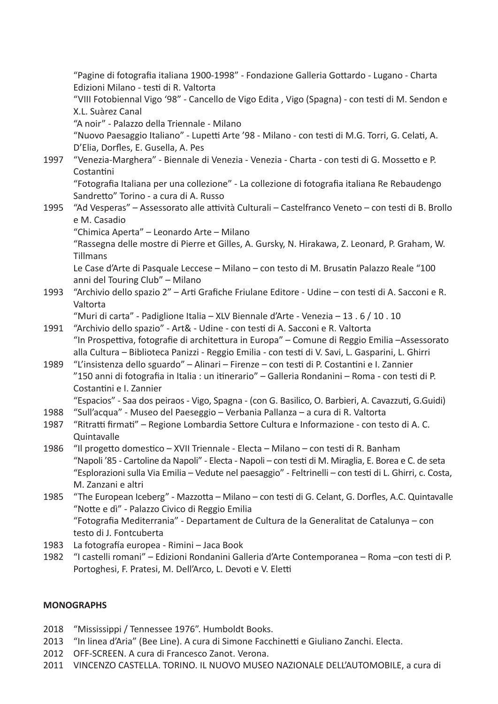"Pagine di fotografia italiana 1900-1998" - Fondazione Galleria Gottardo - Lugano - Charta Edizioni Milano - testi di R. Valtorta "VIII Fotobiennal Vigo '98" - Cancello de Vigo Edita , Vigo (Spagna) - con testi di M. Sendon e X.L. Suàrez Canal "A noir" - Palazzo della Triennale - Milano "Nuovo Paesaggio Italiano" - Lupetti Arte '98 - Milano - con testi di M.G. Torri, G. Celati, A. D'Elia, Dorfles, E. Gusella, A. Pes 1997 "Venezia-Marghera" - Biennale di Venezia - Venezia - Charta - con testi di G. Mossetto e P. **Costantini** "Fotografia Italiana per una collezione" - La collezione di fotografia italiana Re Rebaudengo Sandretto" Torino - a cura di A. Russo 1995 "Ad Vesperas" – Assessorato alle attività Culturali – Castelfranco Veneto – con testi di B. Brollo e M. Casadio "Chimica Aperta" – Leonardo Arte – Milano "Rassegna delle mostre di Pierre et Gilles, A. Gursky, N. Hirakawa, Z. Leonard, P. Graham, W. Tillmans Le Case d'Arte di Pasquale Leccese – Milano – con testo di M. Brusatin Palazzo Reale "100 anni del Touring Club" – Milano 1993 "Archivio dello spazio 2" – Arti Grafiche Friulane Editore - Udine – con testi di A. Sacconi e R. Valtorta "Muri di carta" - Padiglione Italia – XLV Biennale d'Arte - Venezia – 13 . 6 / 10 . 10 1991 "Archivio dello spazio" - Art& - Udine - con testi di A. Sacconi e R. Valtorta "In Prospettiva, fotografie di architettura in Europa" – Comune di Reggio Emilia –Assessorato alla Cultura – Biblioteca Panizzi - Reggio Emilia - con testi di V. Savi, L. Gasparini, L. Ghirri 1989 "L'insistenza dello sguardo" – Alinari – Firenze – con testi di P. Costantini e I. Zannier "150 anni di fotografia in Italia : un itinerario" – Galleria Rondanini – Roma - con testi di P. Costantini e I. Zannier "Espacios" - Saa dos peiraos - Vigo, Spagna - (con G. Basilico, O. Barbieri, A. Cavazzuti, G.Guidi) 1988 "Sull'acqua" - Museo del Paeseggio – Verbania Pallanza – a cura di R. Valtorta 1987 "Ritratti firmati" – Regione Lombardia Settore Cultura e Informazione - con testo di A. C. Quintavalle 1986 "Il progetto domestico – XVII Triennale - Electa – Milano – con testi di R. Banham "Napoli '85 - Cartoline da Napoli" - Electa - Napoli – con testi di M. Miraglia, E. Borea e C. de seta "Esplorazioni sulla Via Emilia – Vedute nel paesaggio" - Feltrinelli – con testi di L. Ghirri, c. Costa, M. Zanzani e altri 1985 "The European Iceberg" - Mazzotta – Milano – con testi di G. Celant, G. Dorfles, A.C. Quintavalle "Notte e dì" - Palazzo Civico di Reggio Emilia "Fotografia Mediterrania" - Departament de Cultura de la Generalitat de Catalunya – con testo di J. Fontcuberta 1983 La fotografía europea - Rimini – Jaca Book 1982 "I castelli romani" – Edizioni Rondanini Galleria d'Arte Contemporanea – Roma –con testi di P. Portoghesi, F. Pratesi, M. Dell'Arco, L. Devoti e V. Eletti

## **MONOGRAPHS**

- 2018 "Mississippi / Tennessee 1976". Humboldt Books.
- 2013 "In linea d'Aria" (Bee Line). A cura di Simone Facchinetti e Giuliano Zanchi. Electa.
- 2012 OFF-SCREEN. A cura di Francesco Zanot. Verona.
- 2011 VINCENZO CASTELLA. TORINO. IL NUOVO MUSEO NAZIONALE DELL'AUTOMOBILE, a cura di